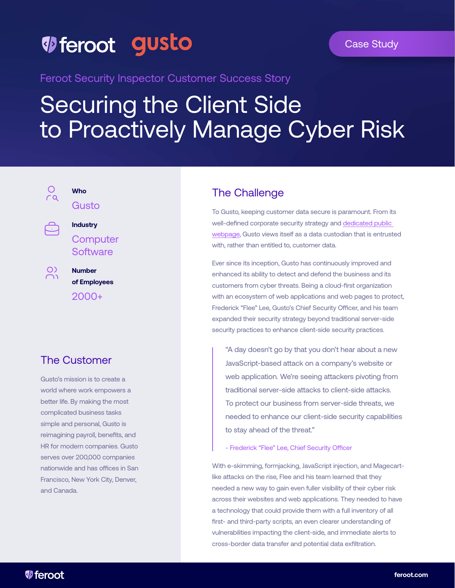## *V* feroot gusto

Feroot Security Inspector Customer Success Story

# Securing the Client Side to Proactively Manage Cyber Risk

 $\circ$  $\overline{c}$ 

 $\circ$ 

## **Who** Gusto



**Number of Employees** 2000+

## The Customer

Gusto's mission is to create a world where work empowers a better life. By making the most complicated business tasks simple and personal, Gusto is reimagining payroll, benefits, and HR for modern companies. Gusto serves over 200,000 companies nationwide and has offices in San Francisco, New York City, Denver, and Canada.

### The Challenge

To Gusto, keeping customer data secure is paramount. From its well-defined corporate security strategy and [dedicated public](https://gusto.com/security)  [webpage](https://gusto.com/security), Gusto views itself as a data custodian that is entrusted with, rather than entitled to, customer data.

Ever since its inception, Gusto has continuously improved and enhanced its ability to detect and defend the business and its customers from cyber threats. Being a cloud-first organization with an ecosystem of web applications and web pages to protect, Frederick "Flee" Lee, Gusto's Chief Security Officer, and his team expanded their security strategy beyond traditional server-side security practices to enhance client-side security practices.

"A day doesn't go by that you don't hear about a new JavaScript-based attack on a company's website or web application. We're seeing attackers pivoting from traditional server-side attacks to client-side attacks. To protect our business from server-side threats, we needed to enhance our client-side security capabilities to stay ahead of the threat."

- Frederick "Flee" Lee, Chief Security Officer

With e-skimming, formjacking, JavaScript injection, and Magecartlike attacks on the rise, Flee and his team learned that they needed a new way to gain even fuller visibility of their cyber risk across their websites and web applications. They needed to have a technology that could provide them with a full inventory of all first- and third-party scripts, an even clearer understanding of vulnerabilities impacting the client-side, and immediate alerts to cross-border data transfer and potential data exfiltration.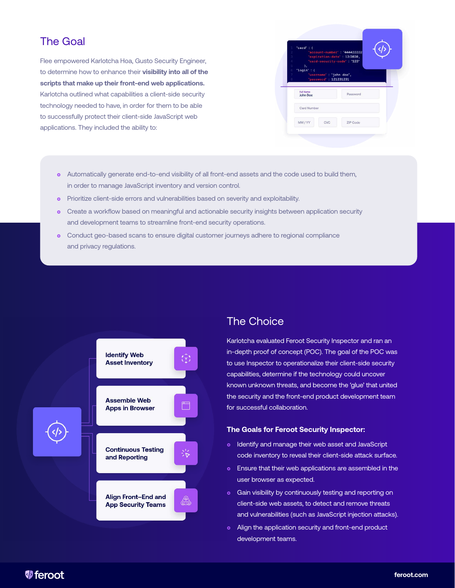#### The Goal

Flee empowered Karlotcha Hoa, Gusto Security Engineer, to determine how to enhance their **visibility into all of the scripts that make up their front-end web applications.**  Karlotcha outlined what capabilities a client-side security technology needed to have, in order for them to be able to successfully protect their client-side JavaScript web applications. They included the ability to:



- **o** Automatically generate end-to-end visibility of all front-end assets and the code used to build them, in order to manage JavaScript inventory and version control.
- **•** Prioritize client-side errors and vulnerabilities based on severity and exploitability.
- **•** Create a workflow based on meaningful and actionable security insights between application security and development teams to streamline front-end security operations.
- **•** Conduct geo-based scans to ensure digital customer journeys adhere to regional compliance and privacy regulations.



### The Choice

Karlotcha evaluated Feroot Security Inspector and ran an in-depth proof of concept (POC). The goal of the POC was to use Inspector to operationalize their client-side security capabilities, determine if the technology could uncover known unknown threats, and become the 'glue' that united the security and the front-end product development team for successful collaboration.

#### **The Goals for Feroot Security Inspector:**

- **•** Identify and manage their web asset and JavaScript code inventory to reveal their client-side attack surface.
- **•** Ensure that their web applications are assembled in the user browser as expected.
- **•** Gain visibility by continuously testing and reporting on client-side web assets, to detect and remove threats and vulnerabilities (such as JavaScript injection attacks).
- Align the application security and front-end product development teams.